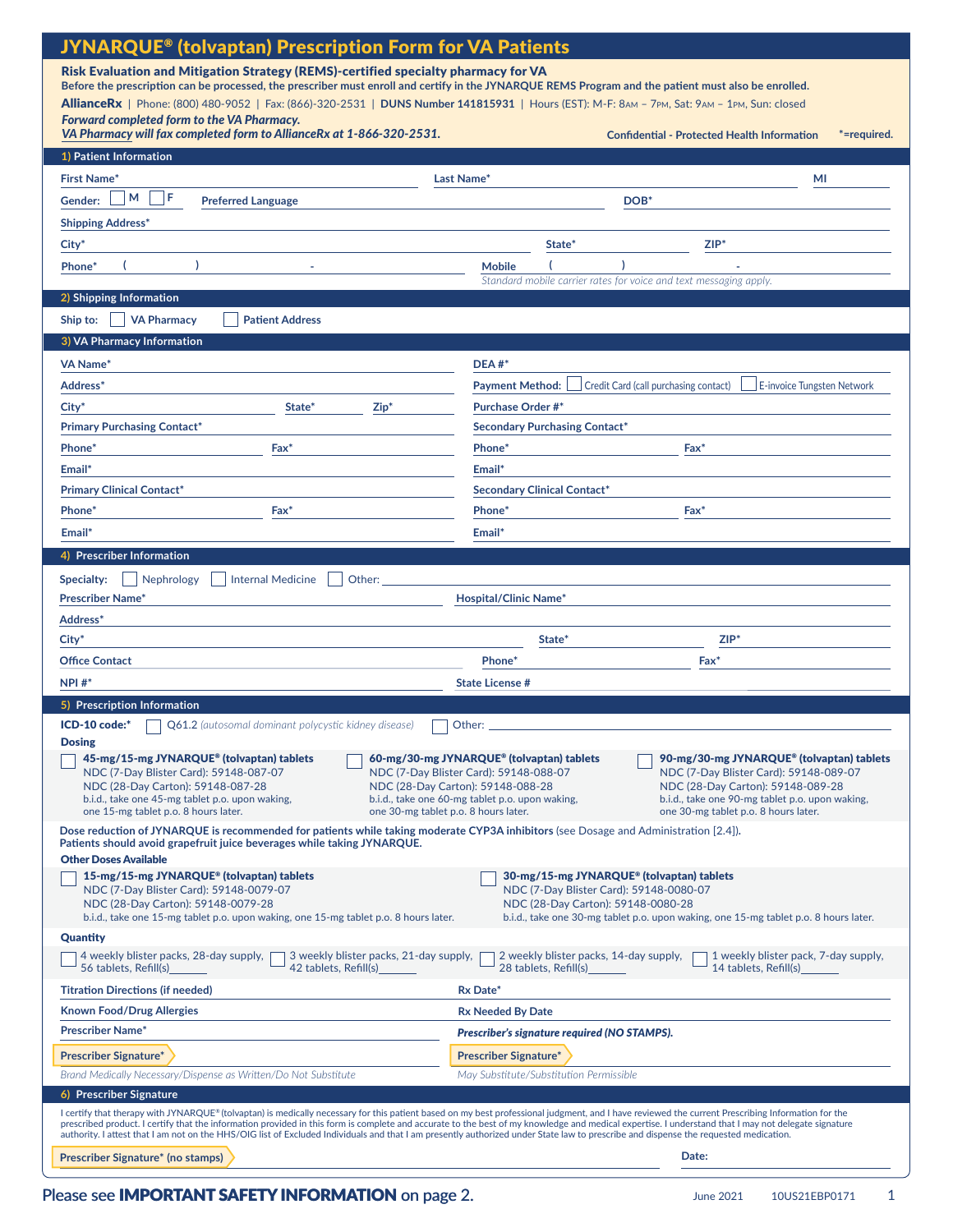| <b>JYNARQUE® (tolvaptan) Prescription Form for VA Patients</b>                                                                                                                                                                                                                                                                                                                                                                                                                                                                                                                                   |                                                                                                                                                                                                                                                                  |
|--------------------------------------------------------------------------------------------------------------------------------------------------------------------------------------------------------------------------------------------------------------------------------------------------------------------------------------------------------------------------------------------------------------------------------------------------------------------------------------------------------------------------------------------------------------------------------------------------|------------------------------------------------------------------------------------------------------------------------------------------------------------------------------------------------------------------------------------------------------------------|
| Risk Evaluation and Mitigation Strategy (REMS)-certified specialty pharmacy for VA                                                                                                                                                                                                                                                                                                                                                                                                                                                                                                               |                                                                                                                                                                                                                                                                  |
| Before the prescription can be processed, the prescriber must enroll and certify in the JYNARQUE REMS Program and the patient must also be enrolled.                                                                                                                                                                                                                                                                                                                                                                                                                                             |                                                                                                                                                                                                                                                                  |
| AllianceRx   Phone: (800) 480-9052   Fax: (866)-320-2531   DUNS Number 141815931   Hours (EST): M-F: 8AM - 7PM, Sat: 9AM - 1PM, Sun: closed<br>Forward completed form to the VA Pharmacy.                                                                                                                                                                                                                                                                                                                                                                                                        |                                                                                                                                                                                                                                                                  |
| VA Pharmacy will fax completed form to AllianceRx at 1-866-320-2531.                                                                                                                                                                                                                                                                                                                                                                                                                                                                                                                             | <b>Confidential - Protected Health Information</b><br>*=required.                                                                                                                                                                                                |
| 1) Patient Information                                                                                                                                                                                                                                                                                                                                                                                                                                                                                                                                                                           |                                                                                                                                                                                                                                                                  |
| <b>First Name*</b>                                                                                                                                                                                                                                                                                                                                                                                                                                                                                                                                                                               | Last Name*<br>МI                                                                                                                                                                                                                                                 |
| F<br>м<br>Gender:<br><b>Preferred Language</b>                                                                                                                                                                                                                                                                                                                                                                                                                                                                                                                                                   | DOB <sup>*</sup>                                                                                                                                                                                                                                                 |
| <b>Shipping Address*</b>                                                                                                                                                                                                                                                                                                                                                                                                                                                                                                                                                                         |                                                                                                                                                                                                                                                                  |
| City <sup>*</sup>                                                                                                                                                                                                                                                                                                                                                                                                                                                                                                                                                                                | $ZIP^*$<br>State*                                                                                                                                                                                                                                                |
| Phone <sup>®</sup>                                                                                                                                                                                                                                                                                                                                                                                                                                                                                                                                                                               | <b>Mobile</b>                                                                                                                                                                                                                                                    |
|                                                                                                                                                                                                                                                                                                                                                                                                                                                                                                                                                                                                  | Standard mobile carrier rates for voice and text messaging apply.                                                                                                                                                                                                |
| 2) Shipping Information                                                                                                                                                                                                                                                                                                                                                                                                                                                                                                                                                                          |                                                                                                                                                                                                                                                                  |
| <b>VA Pharmacy</b><br><b>Patient Address</b><br>Ship to:                                                                                                                                                                                                                                                                                                                                                                                                                                                                                                                                         |                                                                                                                                                                                                                                                                  |
| 3) VA Pharmacy Information                                                                                                                                                                                                                                                                                                                                                                                                                                                                                                                                                                       |                                                                                                                                                                                                                                                                  |
| <b>VA Name*</b>                                                                                                                                                                                                                                                                                                                                                                                                                                                                                                                                                                                  | $DEA #*$                                                                                                                                                                                                                                                         |
| Address*                                                                                                                                                                                                                                                                                                                                                                                                                                                                                                                                                                                         | <b>Payment Method:</b><br>Credit Card (call purchasing contact)<br>E-invoice Tungsten Network                                                                                                                                                                    |
| City <sup>*</sup><br>State*<br>$Zip*$                                                                                                                                                                                                                                                                                                                                                                                                                                                                                                                                                            | <b>Purchase Order #*</b>                                                                                                                                                                                                                                         |
| <b>Primary Purchasing Contact*</b>                                                                                                                                                                                                                                                                                                                                                                                                                                                                                                                                                               | <b>Secondary Purchasing Contact*</b>                                                                                                                                                                                                                             |
| Phone <sup>*</sup><br>Fax*                                                                                                                                                                                                                                                                                                                                                                                                                                                                                                                                                                       | Phone*<br>$\mathsf{Fax}^*$                                                                                                                                                                                                                                       |
| Email*                                                                                                                                                                                                                                                                                                                                                                                                                                                                                                                                                                                           | Email*                                                                                                                                                                                                                                                           |
| <b>Primary Clinical Contact*</b>                                                                                                                                                                                                                                                                                                                                                                                                                                                                                                                                                                 | <b>Secondary Clinical Contact*</b>                                                                                                                                                                                                                               |
| Phone <sup>*</sup><br>Fax*                                                                                                                                                                                                                                                                                                                                                                                                                                                                                                                                                                       | Phone <sup>*</sup><br>Fax"                                                                                                                                                                                                                                       |
| Email*                                                                                                                                                                                                                                                                                                                                                                                                                                                                                                                                                                                           | Email*                                                                                                                                                                                                                                                           |
| 4) Prescriber Information                                                                                                                                                                                                                                                                                                                                                                                                                                                                                                                                                                        |                                                                                                                                                                                                                                                                  |
| <b>Internal Medicine</b><br>Other:<br>Nephrology<br>Specialty:                                                                                                                                                                                                                                                                                                                                                                                                                                                                                                                                   |                                                                                                                                                                                                                                                                  |
| <b>Prescriber Name*</b>                                                                                                                                                                                                                                                                                                                                                                                                                                                                                                                                                                          | <b>Hospital/Clinic Name*</b>                                                                                                                                                                                                                                     |
| Address*                                                                                                                                                                                                                                                                                                                                                                                                                                                                                                                                                                                         |                                                                                                                                                                                                                                                                  |
| $City^*$                                                                                                                                                                                                                                                                                                                                                                                                                                                                                                                                                                                         | ZIP*<br>State <sup>*</sup>                                                                                                                                                                                                                                       |
| <b>Office Contact</b>                                                                                                                                                                                                                                                                                                                                                                                                                                                                                                                                                                            | Phone <sup>*</sup><br>Fax <sup>*</sup>                                                                                                                                                                                                                           |
| $NPI #*$                                                                                                                                                                                                                                                                                                                                                                                                                                                                                                                                                                                         | <b>State License #</b>                                                                                                                                                                                                                                           |
| 5) Prescription Information                                                                                                                                                                                                                                                                                                                                                                                                                                                                                                                                                                      |                                                                                                                                                                                                                                                                  |
| ICD-10 code:*<br><b>Q61.2</b> (autosomal dominant polycystic kidney disease)                                                                                                                                                                                                                                                                                                                                                                                                                                                                                                                     | Other:                                                                                                                                                                                                                                                           |
| <b>Dosing</b><br>45-mg/15-mg JYNARQUE® (tolvaptan) tablets                                                                                                                                                                                                                                                                                                                                                                                                                                                                                                                                       | 60-mg/30-mg JYNARQUE® (tolvaptan) tablets<br>90-mg/30-mg JYNARQUE® (tolvaptan) tablets                                                                                                                                                                           |
| NDC (7-Day Blister Card): 59148-087-07<br>NDC (28-Day Carton): 59148-087-28<br>b.i.d., take one 45-mg tablet p.o. upon waking,                                                                                                                                                                                                                                                                                                                                                                                                                                                                   | NDC (7-Dav Blister Card): 59148-088-07<br>NDC (7-Day Blister Card): 59148-089-07<br>NDC (28-Day Carton): 59148-088-28<br>NDC (28-Day Carton): 59148-089-28<br>b.i.d., take one 60-mg tablet p.o. upon waking,<br>b.i.d., take one 90-mg tablet p.o. upon waking, |
| one 15-mg tablet p.o. 8 hours later.<br>one 30-mg tablet p.o. 8 hours later.                                                                                                                                                                                                                                                                                                                                                                                                                                                                                                                     | one 30-mg tablet p.o. 8 hours later.                                                                                                                                                                                                                             |
| Dose reduction of JYNARQUE is recommended for patients while taking moderate CYP3A inhibitors (see Dosage and Administration [2.4]).<br>Patients should avoid grapefruit juice beverages while taking JYNARQUE.<br><b>Other Doses Available</b>                                                                                                                                                                                                                                                                                                                                                  |                                                                                                                                                                                                                                                                  |
| 15-mg/15-mg JYNARQUE® (tolvaptan) tablets                                                                                                                                                                                                                                                                                                                                                                                                                                                                                                                                                        | 30-mg/15-mg JYNARQUE® (tolvaptan) tablets                                                                                                                                                                                                                        |
| NDC (7-Day Blister Card): 59148-0079-07<br>NDC (28-Day Carton): 59148-0079-28<br>b.i.d., take one 15-mg tablet p.o. upon waking, one 15-mg tablet p.o. 8 hours later.                                                                                                                                                                                                                                                                                                                                                                                                                            | NDC (7-Day Blister Card): 59148-0080-07<br>NDC (28-Day Carton): 59148-0080-28<br>b.i.d., take one 30-mg tablet p.o. upon waking, one 15-mg tablet p.o. 8 hours later.                                                                                            |
| Quantity                                                                                                                                                                                                                                                                                                                                                                                                                                                                                                                                                                                         |                                                                                                                                                                                                                                                                  |
| 3 weekly blister packs, 21-day supply,<br>2 weekly blister packs, 14-day supply,<br>4 weekly blister packs, 28-day supply,<br>1 weekly blister pack, 7-day supply,<br>56 tablets, Refill(s)<br>42 tablets, Refill(s)<br>28 tablets, Refill(s)<br>14 tablets, Refill(s)                                                                                                                                                                                                                                                                                                                           |                                                                                                                                                                                                                                                                  |
| <b>Titration Directions (if needed)</b>                                                                                                                                                                                                                                                                                                                                                                                                                                                                                                                                                          | Rx Date*                                                                                                                                                                                                                                                         |
| <b>Known Food/Drug Allergies</b>                                                                                                                                                                                                                                                                                                                                                                                                                                                                                                                                                                 | <b>Rx Needed By Date</b>                                                                                                                                                                                                                                         |
| <b>Prescriber Name*</b>                                                                                                                                                                                                                                                                                                                                                                                                                                                                                                                                                                          | Prescriber's signature required (NO STAMPS).                                                                                                                                                                                                                     |
| <b>Prescriber Signature*</b>                                                                                                                                                                                                                                                                                                                                                                                                                                                                                                                                                                     | <b>Prescriber Signature*</b>                                                                                                                                                                                                                                     |
| Brand Medically Necessary/Dispense as Written/Do Not Substitute                                                                                                                                                                                                                                                                                                                                                                                                                                                                                                                                  | May Substitute/Substitution Permissible                                                                                                                                                                                                                          |
| 6) Prescriber Signature                                                                                                                                                                                                                                                                                                                                                                                                                                                                                                                                                                          |                                                                                                                                                                                                                                                                  |
| I certify that therapy with JYNARQUE® (tolvaptan) is medically necessary for this patient based on my best professional judgment, and I have reviewed the current Prescribing Information for the<br>prescribed product. I certify that the information provided in this form is complete and accurate to the best of my knowledge and medical expertise. I understand that I may not delegate signature<br>authority. I attest that I am not on the HHS/OIG list of Excluded Individuals and that I am presently authorized under State law to prescribe and dispense the requested medication. |                                                                                                                                                                                                                                                                  |
| <b>Prescriber Signature* (no stamps)</b>                                                                                                                                                                                                                                                                                                                                                                                                                                                                                                                                                         | Date:                                                                                                                                                                                                                                                            |

### Please see **[IMPORTANT SAFETY INFORMATION](#page-1-0)** on page 2.